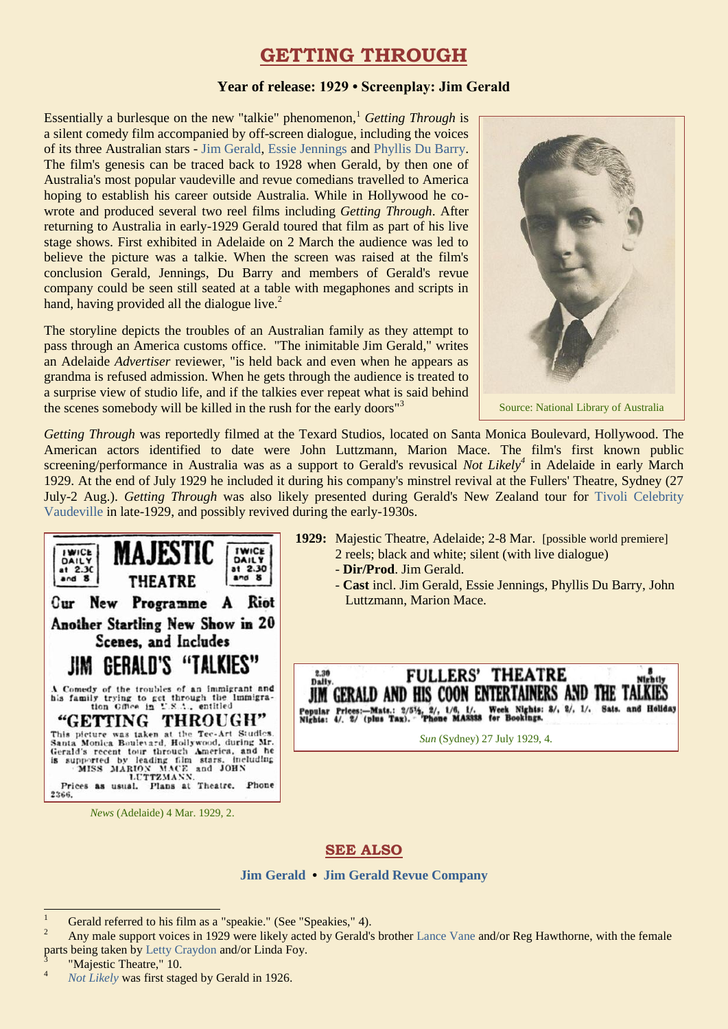# **GETTING THROUGH**

### **Year of release: 1929 • Screenplay: Jim Gerald**

Essentially a burlesque on the new "talkie" phenomenon,<sup>1</sup> *Getting Through* is a silent comedy film accompanied by off-screen dialogue, including the voices of its three Australian stars - [Jim Gerald,](https://ozvta.com/practitioners-g/) [Essie Jennings](https://ozvta.com/practitioners-i-j/) and [Phyllis Du Barry.](https://ozvta.com/practitioners-d/) The film's genesis can be traced back to 1928 when Gerald, by then one of Australia's most popular vaudeville and revue comedians travelled to America hoping to establish his career outside Australia. While in Hollywood he cowrote and produced several two reel films including *Getting Through*. After returning to Australia in early-1929 Gerald toured that film as part of his live stage shows. First exhibited in Adelaide on 2 March the audience was led to believe the picture was a talkie. When the screen was raised at the film's conclusion Gerald, Jennings, Du Barry and members of Gerald's revue company could be seen still seated at a table with megaphones and scripts in hand, having provided all the dialogue live.<sup>2</sup>

The storyline depicts the troubles of an Australian family as they attempt to pass through an America customs office. "The inimitable Jim Gerald," writes an Adelaide *Advertiser* reviewer, "is held back and even when he appears as grandma is refused admission. When he gets through the audience is treated to a surprise view of studio life, and if the talkies ever repeat what is said behind the scenes somebody will be killed in the rush for the early doors<sup>"3</sup>



Source: National Library of Australia

*Getting Through* was reportedly filmed at the Texard Studios, located on Santa Monica Boulevard, Hollywood. The American actors identified to date were John Luttzmann, Marion Mace. The film's first known public screening/performance in Australia was as a support to Gerald's revusical *Not Likely<sup>4</sup>* in Adelaide in early March 1929. At the end of July 1929 he included it during his company's minstrel revival at the Fullers' Theatre, Sydney (27 July-2 Aug.). *Getting Through* was also likely presented during Gerald's New Zealand tour for [Tivoli Celebrity](https://ozvta.com/organisations-m-z/)  [Vaudeville](https://ozvta.com/organisations-m-z/) in late-1929, and possibly revived during the early-1930s.



*News* (Adelaide) 4 Mar. 1929, 2.

- **1929:** Majestic Theatre, Adelaide; 2-8 Mar. [possible world premiere] 2 reels; black and white; silent (with live dialogue)
	- **Dir/Prod**. Jim Gerald.
	- **Cast** incl. Jim Gerald, Essie Jennings, Phyllis Du Barry, John Luttzmann, Marion Mace.



*Sun* (Sydney) 27 July 1929, 4.

## **SEE ALSO**

**[Jim Gerald](https://ozvta.com/practitioners-g/) • [Jim Gerald Revue Company](https://ozvta.com/troupes-g-l/)**

"Majestic Theatre," 10.

 $\overline{1}$ <sup>1</sup> Gerald referred to his film as a "speakie." (See "Speakies," 4).

Any male support voices in 1929 were likely acted by Gerald's brother [Lance Vane](https://ozvta.com/practitioners-u-v/) and/or Reg Hawthorne, with the female parts being taken by [Letty Craydon](https://ozvta.com/practitioners-c/) and/or Linda Foy.<br><sup>3</sup> "Majastic Theotra " 10

<sup>4</sup> *[Not Likely](https://ozvta.com/1920s/)* was first staged by Gerald in 1926.